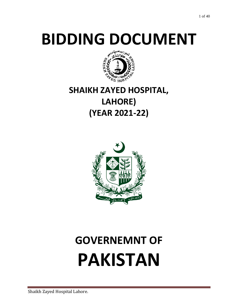# **BIDDING DOCUMENT**



# **SHAIKH ZAYED HOSPITAL, LAHORE) (YEAR 2021‐22)**



# **GOVERNEMNT OF PAKISTAN**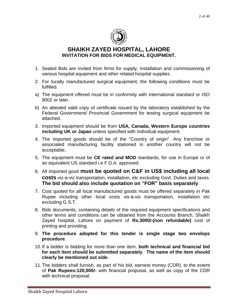

# **SHAIKH ZAYED HOSPITAL, LAHORE INVITATION FOR BIDS FOR MEDICAL EQUIPMENT.**

- 1. Sealed Bids are invited from firms for supply, installation and commissioning of various hospital equipment and other related hospital supplies.
- 2. For locally manufactured surgical equipment, the following conditions must be fulfilled.
- a) The equipment offered must be in conformity with International standard or ISO 9002 or later.
- b) An attested valid copy of certificate issued by the laboratory established by the Federal Government/ Provincial Government for testing surgical equipment be attached.
- 3. Imported equipment should be from **USA, Canada, Western Europe countries including UK or Japan** unless specified with individual equipment.
- 4. The imported goods should be of the "Country of origin". Any franchise or associated manufacturing facility stationed in another country will not be acceptable.
- 5. The equipment must be **CE rated and MOD** standards, for use in Europe or of an equivalent US standard i.e F.D.A. approved.
- 6. All imported good **must be quoted on C&F in US\$ including all local costs** viz-a-viz transportation, installation, etc excluding Govt. Duties and taxes. **The bid should also include quotation on "FOR" basis separately**.
- 7. Cost quoted for all local manufactured goods must be offered separately in Pak Rupee including other local costs vis-à-vis transportation, installation etc excluding G.S.T.
- 8. Bids documents, containing details of the required equipment specifications and other terms and conditions can be obtained from the Accounts Branch, Shaikh Zayed hospital, Lahore on payment of **Rs.3000/-(non refundable)** cost of printing and providing.
- 9. **The procedure adopted for this tender is single stage two envelops procedure**.
- 10.If a bidder is bidding for more than one item, **both technical and financial bid for each item should be submitted separately**. **The name of the item should clearly be mentioned out side**.
- 11.The bidders shall furnish, as part of his bid, earnest money (CDR), to the extent of **Pak Rupees:120,000/-** with financial proposal, as well as copy of the CDR with technical proposal.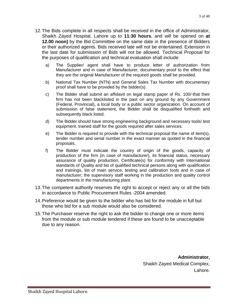- 12.The Bids complete in all respects shall be received in the office of Administrator, Shaikh Zayed Hospital, Lahore up to **11:30 hours**, and will be opened on **at 12.00 noon)** by the Bid Committee on the same date in the presence of Bidders or their authorized agents. Bids received late will not be entertained. Extension in the last date for submission of Bids will not be allowed. Technical Proposal for the purposes of qualification and technical evaluation shall include:
	- a) The Supplier/ agent shall have to produce letter of authorization from Manufacturer and in case of Manufacturer, documentary proof to the effect that they are the original Manufacturer of the required goods shall be provided.
	- b) National Tax Number (NTN) and General Sales Tax Number with documentary proof shall have to be provided by the bidder(s).
	- c) The Bidder shall submit an affidavit on legal stamp paper of Rs. 100/‐that their firm has not been blacklisted in the past on any ground by any Government (Federal, Provincial), a local body or a public sector organization. On account of submission of false statement, the Bidder shall be disqualified forthwith and subsequently black listed.
	- d) The Bidder should have strong engineering background and necessary tools/ test equipment, trained staff for the goods required after sales services.
	- e) The Bidder is required to provide with the technical proposal the name of item(s), tender number and serial number in the exact manner as quoted in the financial proposals.
	- f) The Bidder must indicate the country of origin of the goods, capacity of production of the firm (in case of manufacturer), its financial status, necessary assurance of quality production, Certificate(s) for conformity with International standards of Quality and list of qualified technical persons along with qualification and trainings, list of main service, testing and calibration tools and in case of manufacturer; the supervisory staff working in the production and quality control departments in the manufacturing plant.
- 13.The competent authority reserves the right to accept or reject any or all the bids in accordance to Public Procurement Rules -2004 amended.
- 14.Preference would be given to the bidder who has bid for the module in full but those who bid for a sub module would also be considered.
- 15.The Purchaser reserve the right to ask the bidder to change one or more items from the module or sub module tendered if these are found to be unacceptable due to any reason.

**Administrator,** Shaikh Zayed Medical Complex, Lahore.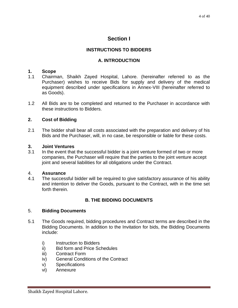# **Section I**

# **INSTRUCTIONS TO BIDDERS**

# **A. INTRODUCTION**

# **1. Scope**

- 1.1 Chairman, Shaikh Zayed Hospital, Lahore. (hereinafter referred to as the Purchaser) wishes to receive Bids for supply and delivery of the medical equipment described under specifications in Annex-VIII (hereinafter referred to as Goods).
- 1.2 All Bids are to be completed and returned to the Purchaser in accordance with these instructions to Bidders.

# **2. Cost of Bidding**

2.1 The bidder shall bear all costs associated with the preparation and delivery of his Bids and the Purchaser, will, in no case, be responsible or liable for these costs.

### **3. Joint Ventures**

3.1 In the event that the successful bidder is a joint venture formed of two or more companies, the Purchaser will require that the parties to the joint venture accept joint and several liabilities for all obligations under the Contract.

# 4. **Assurance**

4.1 The successful bidder will be required to give satisfactory assurance of his ability and intention to deliver the Goods, pursuant to the Contract, with in the time set forth therein.

# **B. THE BIDDING DOCUMENTS**

# 5. **Bidding Documents**

- 5.1 The Goods required, bidding procedures and Contract terms are described in the Bidding Documents. In addition to the Invitation for bids, the Bidding Documents include:
	- i) Instruction to Bidders
	- ii) Bid form and Price Schedules
	- iii) Contract Form
	- iv) General Conditions of the Contract
	- v) Specifications
	- vi) Annexure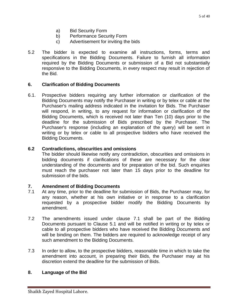- a) Bid Security Form
- b) Performance Security Form
- c) Advertisement for inviting the bids
- 5.2 The bidder is expected to examine all instructions, forms, terms and specifications in the Bidding Documents. Failure to furnish all information required by the Bidding Documents or submission of a Bid not substantially responsive to the Bidding Documents, in every respect may result in rejection of the Bid.

# **6. Clarification of Bidding Documents**

6.1. Prospective bidders requiring any further information or clarification of the Bidding Documents may notify the Purchaser in writing or by telex or cable at the Purchaser's mailing address indicated in the invitation for Bids. The Purchaser will respond, in writing, to any request for information or clarification of the Bidding Documents, which is received not later than Ten (10) days prior to the deadline for the submission of Bids prescribed by the Purchaser. The Purchaser's response (including an explanation of the query) will be sent in writing or by telex or cable to all prospective bidders who have received the Bidding Documents.

### **6.2 Contradictions, obscurities and omissions**

The bidder should likewise notify any contradiction, obscurities and omissions in bidding documents if clarifications of these are necessary for the clear understanding of the documents and for preparation of the bid. Such enquiries must reach the purchaser not later than 15 days prior to the deadline for submission of the bids.

#### **7. Amendment of Bidding Documents**

- 7.1 At any time, prior to the deadline for submission of Bids, the Purchaser may, for any reason, whether at his own initiative or in response to a clarification requested by a prospective bidder modify the Bidding Documents by amendment.
- 7.2 The amendments issued under clause 7.1 shall be part of the Bidding Documents pursuant to Clause 5.1 and will be notified in writing or by telex or cable to all prospective bidders who have received the Bidding Documents and will be binding on them. The bidders are required to acknowledge receipt of any such amendment to the Bidding Documents.
- 7.3 In order to allow, to the prospective bidders, reasonable time in which to take the amendment into account, in preparing their Bids, the Purchaser may at his discretion extend the deadline for the submission of Bids.

# **8. Language of the Bid**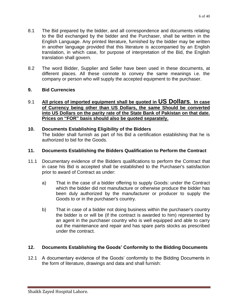- 8.1 The Bid prepared by the bidder, and all correspondence and documents relating to the Bid exchanged by the bidder and the Purchaser, shall be written in the English Language. Any printed literature, furnished by the bidder may be written in another language provided that this literature is accompanied by an English translation, in which case, for purpose of interpretation of the Bid, the English translation shall govern.
- 8.2 The word Bidder, Supplier and Seller have been used in these documents, at different places. All these connote to convey the same meanings i.e. the company or person who will supply the accepted equipment to the purchaser.

# **9. Bid Currencies**

# 9.1 **All prices of imported equipment shall be quoted in US Dollars. In case of Currency being other than US Dollars, the same Should be converted into US Dollars on the parity rate of the State Bank of Pakistan on that date. Prices on "FOR" basis should also be quoted separately.**

#### **10. Documents Establishing Eligibility of the Bidders** The bidder shall furnish as part of his Bid a certification establishing that he is authorized to bid for the Goods.

# **11. Documents Establishing the Bidders Qualification to Perform the Contract**

- 11.1 Documentary evidence of the Bidders qualifications to perform the Contract that in case his Bid is accepted shall be established to the Purchaser's satisfaction prior to award of Contract as under:
	- a) That in the case of a bidder offering to supply Goods: under the Contract which the bidder did not manufacture or otherwise produce the bidder has been duly authorized by the manufacturer or producer to supply the Goods to or in the purchaser's country.
	- b) That in case of a bidder not doing business within the purchaser's country the bidder is or will be (if the contract is awarded to him) represented by an agent in the purchaser country who is well equipped and able to carry out the maintenance and repair and has spare parts stocks as prescribed under the contract.

# **12. Documents Establishing the Goods' Conformity to the Bidding Documents**

12.1 A documentary evidence of the Goods' conformity to the Bidding Documents in the form of literature, drawings and data and shall furnish: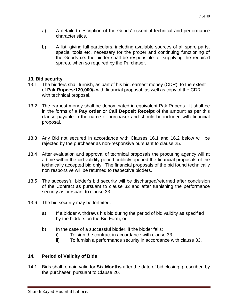- a) A detailed description of the Goods' essential technical and performance characteristics.
- b) A list, giving full particulars, including available sources of all spare parts, special tools etc. necessary for the proper and continuing functioning of the Goods i.e. the bidder shall be responsible for supplying the required spares, when so required by the Purchaser.

# **13. Bid security**

- 13.1 The bidders shall furnish, as part of his bid, earnest money (CDR), to the extent of **Pak Rupees:120,000/-** with financial proposal, as well as copy of the CDR with technical proposal.
- 13.2 The earnest money shall be denominated in equivalent Pak Rupees. It shall be in the forms of a **Pay order** or **Call Deposit Receipt** of the amount as per this clause payable in the name of purchaser and should be included with financial proposal.
- 13.3 Any Bid not secured in accordance with Clauses 16.1 and 16.2 below will be rejected by the purchaser as non-responsive pursuant to clause 25.
- 13.4 After evaluation and approval of technical proposals the procuring agency will at a time within the bid validity period publicly opened the financial proposals of the technically accepted bid only. The financial proposals of the bid found technically non responsive will be returned to respective bidders.
- 13.5 The successful bidder's bid security will be discharged/returned after conclusion of the Contract as pursuant to clause 32 and after furnishing the performance security as pursuant to clause 33.
- 13.6 The bid security may be forfeited:
	- a) If a bidder withdraws his bid during the period of bid validity as specified by the bidders on the Bid Form, or
	- b) In the case of a successful bidder, if the bidder fails:
		- i) To sign the contract in accordance with clause 33.
		- ii) To furnish a performance security in accordance with clause 33.

# **14. Period of Validity of Bids**

14.1 Bids shall remain valid for **Six Months** after the date of bid closing, prescribed by the purchaser, pursuant to Clause 20.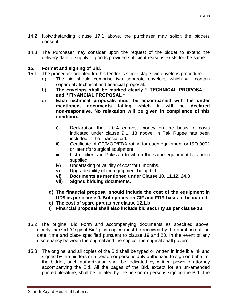- 14.2 Notwithstanding clause 17.1 above, the purchaser may solicit the bidders consent
- 14.3 The Purchaser may consider upon the request of the bidder to extend the delivery date of supply of goods provided sufficient reasons exists for the same.

# **15. Format and signing of Bid.**

- 15.1 The procedure adopted fro this tender is single stage two envelops procedure.
	- a) The bid should comprise two separate envelops which will contain separately technical and financial proposal.
	- b) **The envelops shall be marked clearly " TECHNICAL PROPOSAL " and " FINANCIAL PROPOSAL "**
	- c) **Each technical proposals must be accompanied with the under mentioned, documents failing which it will be declared non-responsive. No relaxation will be given in compliance of this condition.**
		- i) Declaration that 2.0% earnest money on the basis of costs indicated under clause 9.1, 13 above; in Pak Rupee has been included in the financial bid.
		- ii) Certificate of CE/MOD/FDA rating for each equipment or ISO 9002 or later (for surgical equipment
		- iii) List of clients in Pakistan to whom the same equipment has been supplied.
		- iv) Undertaking of validity of cost for 6 months.
		- v) Upgradeability of the equipment being bid.
		- **vi) Documents as mentioned under Clause 10, 11,12, 24.3**
		- **vii) Signed bidding documents.**
		- **d) The financial proposal should include the cost of the equipment in UD\$ as per clause 9. Both prices on CIF and FOR basis to be quoted.**
		- **e) The cost of spare part as per clause 12.1.b**
		- f) **Financial proposal shall also include bid security as per clause 13.**
- 15.2 The original Bid Form and accompanying documents as specified above, clearly marked "Original Bid" plus copies must be received by the purchase at the date, time and place specified pursuant to clause 19 and 20. In the event of any discrepancy between the original and the copies, the original shall govern.
- 15.3 The original and all copies of the Bid shall be typed or written in indelible ink and signed by the bidders or a person or persons duly authorized to sign on behalf of the bidder, such authorization shall be indicated by written power-of-attorney accompanying the Bid. All the pages of the Bid, except for an un-amended printed literature, shall be initialed by the person or persons signing the Bid. The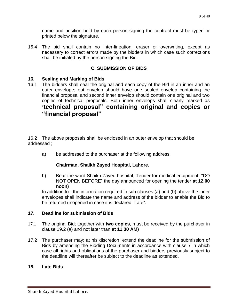name and position held by each person signing the contract must be typed or printed below the signature.

15.4 The bid shall contain no inter-lineation, eraser or overwriting, except as necessary to correct errors made by the bidders in which case such corrections shall be initialed by the person signing the Bid.

# **C. SUBMISSION OF BIDS**

# **16. Sealing and Marking of Bids**

16.1 The bidders shall seal the original and each copy of the Bid in an inner and an outer envelope; out envelop should have one sealed envelop containing the financial proposal and second inner envelop should contain one original and two copies of technical proposals. Both inner envelops shall clearly marked as "**technical proposal" containing original and copies or "financial proposal"** 

16.2 The above proposals shall be enclosed in an outer envelop that should be addressed ;

a) be addressed to the purchaser at the following address:

# **Chairman, Shaikh Zayed Hospital, Lahore.**

b) Bear the word Shaikh Zayed hospital, Tender for medical equipment "DO NOT OPEN BEFORE" the day announced for opening the tender **at 12.00 noon)**

In addition to - the information required in sub clauses (a) and (b) above the inner envelopes shall indicate the name and address of the bidder to enable the Bid to be returned unopened in case it is declared "Late".

# **17. Deadline for submission of Bids**

- 17.1 The original Bid; together with **two copies**, must be received by the purchaser in clause 19.2 (a) and not later than **at 11.30 AM)**
- 17.2 The purchaser may; at his discretion; extend the deadline for the submission of Bids by amending the Bidding Documents in accordance with clause 7 in which case all rights and obligations of the purchaser and bidders previously subject to the deadline will thereafter be subject to the deadline as extended.

# **18. Late Bids**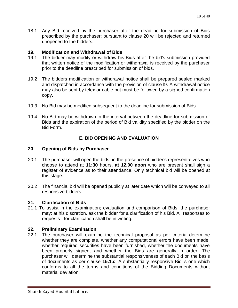18.1 Any Bid received by the purchaser after the deadline for submission of Bids prescribed by the purchaser; pursuant to clause 20 will be rejected and returned unopened to the bidders.

# **19. Modification and Withdrawal of Bids**

- 19.1 The bidder may modify or withdraw his Bids after the bid's submission provided that written notice of the modification or withdrawal is received by the purchaser prior to the deadline prescribed for submission of bids.
- 19.2 The bidders modification or withdrawal notice shall be prepared sealed marked and dispatched in accordance with the provision of clause l9. A withdrawal notice may also be sent by telex or cable but must be followed by a signed confirmation copy.
- 19.3 No Bid may be modified subsequent to the deadline for submission of Bids.
- 19.4 No Bid may be withdrawn in the interval between the deadline for submission of Bids and the expiration of the period of Bid validity specified by the bidder on the Bid Form.

# **E. BID OPENING AND EVALUATION**

# **20 Opening of Bids by Purchaser**

- 20.1 The purchaser will open the bids, in the presence of bidder's representatives who choose to attend at **11:30** hours, **at 12.00 noon** who are present shall sign a register of evidence as to their attendance. Only technical bid will be opened at this stage.
- 20.2 The financial bid will be opened publicly at later date which will be conveyed to all responsive bidders.

# **21. Clarification of Bids**

21.1 To assist in the examination; evaluation and comparison of Bids, the purchaser may; at his discretion, ask the bidder for a clarification of his Bid. All responses to requests - for clarification shall be in writing.

# **22. Preliminary Examination**

22.1 The purchaser will examine the technical proposal as per criteria determine whether they are complete, whether any computational errors have been made, whether required securities have been furnished, whether the documents have been properly signed, and whether the Bids are generally in order. The purchaser will determine the substantial responsiveness of each Bid on the basis of documents as per clause **15.1.c**. A substantially responsive Bid is one which conforms to all the terms and conditions of the Bidding Documents without material deviation.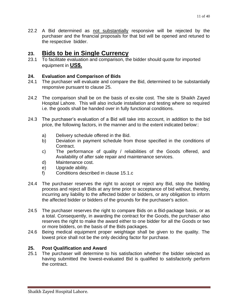22.2 A Bid determined as not substantially responsive will be rejected by the purchaser and the financial proposals for that bid will be opened and retuned to the respective bidder.

# **23. Bids to be in Single Currency**

23.1 To facilitate evaluation and comparison, the bidder should quote for imported equipment in **US\$.**

# **24. Evaluation and Comparison of Bids**

- 24.1 The purchaser will evaluate and compare the Bid, determined to be substantially responsive pursuant to clause 25.
- 24.2 The comparison shall be on the basis of ex-site cost. The site is Shaikh Zayed Hospital Lahore. This will also include installation and testing where so required i.e. the goods shall be handed over in fully functional conditions.
- 24.3 The purchaser's evaluation of a Bid will take into account, in addition to the bid price, the following factors, in the manner and to the extent indicated below::
	- a) Delivery schedule offered in the Bid.
	- b) Deviation in payment schedule from those specified in the conditions of Contract.
	- c) The performance of quality / reliabilities of the Goods offered, and Availability of after sale repair and maintenance services.
	- d) Maintenance cost.
	- e) Upgrade ability.
	- f) Conditions described in clause 15.1.c
- 24.4 The purchaser reserves the right to accept or reject any Bid, stop the bidding process and reject all Bids at any time prior to acceptance of bid without, thereby, incurring any liability to the affected bidder or bidders, or any obligation to inform the affected bidder or bidders of the grounds for the purchaser's action.
- 24.5 The purchaser reserves the right to compare Bids on a Bid-package basis, or as a total. Consequently, in awarding the contract for the Goods, the purchaser also reserves the right to make the award either to one bidder for all the Goods or two or more bidders, on the basis of the Bids packages.
- 24.6 Being medical equipment proper weightage shall be given to the quality. The lowest price shall not be the only deciding factor for purchase.

# **25. Post Qualification and Award**

25.1 The purchaser will determine to his satisfaction whether the bidder selected as having submitted the lowest-evaluated Bid is qualified to satisfactorily perform the contract.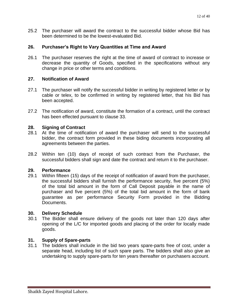25.2 The purchaser will award the contract to the successful bidder whose Bid has been determined to be the lowest-evaluated Bid.

### **26. Purchaser's Right to Vary Quantities at Time and Award**

26.1 The purchaser reserves the right at the time of award of contract to increase or decrease the quantity of Goods, specified in the specifications without any change in price or other terms and conditions.

### **27. Notification of Award**

- 27.1 The purchaser will notify the successful bidder in writing by registered letter or by cable or telex, to be confirmed in writing by registered letter, that his Bid has been accepted.
- 27.2 The notification of award, constitute the formation of a contract, until the contract has been effected pursuant to clause 33.

#### **28. Signing of Contract**

- 28.1 At the time of notification of award the purchaser will send to the successful bidder, the contract form provided in these biding documents incorporating all agreements between the parties.
- 28.2 Within ten (10) days of receipt of such contract from the Purchaser, the successful bidders shall sign and date the contract and return it to the purchaser.

#### **29. Performance**

29.1 Within fifteen (15) days of the receipt of notification of award from the purchaser, the successful bidders shall furnish the performance security, five percent (5%) of the total bid amount in the form of Call Deposit payable in the name of purchaser and five percent (5%) of the total bid amount in the form of bank guarantee as per performance Security Form provided in the Bidding Documents.

#### **30. Delivery Schedule**

30.1 The Bidder shall ensure delivery of the goods not later than 120 days after opening of the L/C for imported goods and placing of the order for locally made goods.

#### **31. Supply of Spare-parts**

31.1 The bidders shall include in the bid two years spare-parts free of cost, under a separate head, including list of such spare parts. The bidders shall also give an undertaking to supply spare-parts for ten years thereafter on purchasers account.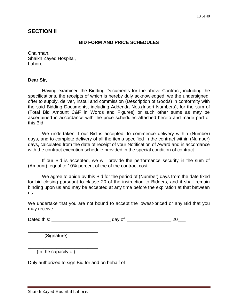# **SECTION II**

#### **BID FORM AND PRICE SCHEDULES**

Chairman, Shaikh Zayed Hospital, Lahore.

#### **Dear Sir,**

Having examined the Bidding Documents for the above Contract, including the specifications, the receipts of which is hereby duly acknowledged, we the undersigned, offer to supply, deliver, install and commission (Description of Goods) in conformity with the said Bidding Documents, including Addenda Nos.(Insert Numbers), for the sum of (Total Bid Amount C&F in Words and Figures) or such other sums as may be ascertained in accordance with the price schedules attached hereto and made part of this Bid.

We undertaken if our Bid is accepted, to commence delivery within (Number) days, and to complete delivery of all the items specified in the contract within (Number) days, calculated from the date of receipt of your Notification of Award and in accordance with the contract execution schedule provided in the special condition of contract.

If our Bid is accepted, we will provide the performance security in the sum of (Amount), equal to 10% percent of the of the contract cost.

We agree to abide by this Bid for the period of (Number) days from the date fixed for bid closing pursuant to clause 20 of the instruction to Bidders, and it shall remain binding upon us and may be accepted at any time before the expiration at that between us.

We undertake that you are not bound to accept the lowest-priced or any Bid that you may receive.

Dated this: \_\_\_\_\_\_\_\_\_\_\_\_\_\_\_\_\_\_\_\_\_\_\_ day of \_\_\_\_\_\_\_\_\_\_\_\_\_\_\_\_\_ 20\_\_\_

(Signature)

\_\_\_\_\_\_\_\_\_\_\_\_\_\_\_\_\_\_\_\_\_\_\_\_\_\_\_

\_\_\_\_\_\_\_\_\_\_\_\_\_\_\_\_\_\_\_\_\_\_\_\_\_\_\_

(In the capacity of)

Duly authorized to sign Bid for and on behalf of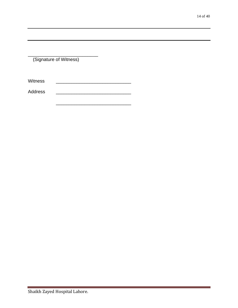(Signature of Witness)

\_\_\_\_\_\_\_\_\_\_\_\_\_\_\_\_\_\_\_\_\_\_\_\_\_\_\_

Witness

Address \_\_\_\_\_\_\_\_\_\_\_\_\_\_\_\_\_\_\_\_\_\_\_\_\_\_\_\_\_

\_\_\_\_\_\_\_\_\_\_\_\_\_\_\_\_\_\_\_\_\_\_\_\_\_\_\_\_\_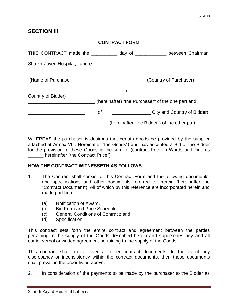# **SECTION III**

|                                                   | <b>CONTRACT FORM</b> |                                                   |
|---------------------------------------------------|----------------------|---------------------------------------------------|
| THIS CONTRACT made the __________ day of ________ |                      | between Chairman,                                 |
| Shaikh Zayed Hospital, Lahore.                    |                      |                                                   |
| (Name of Purchaser                                |                      | (Country of Purchaser)                            |
|                                                   | οf                   |                                                   |
| Country of Bidder)                                |                      | (hereinafter) "the Purchaser" of the one part and |
|                                                   | οf                   | City and Country of Bidder)                       |
|                                                   |                      | (hereinafter "the Bidder") of the other part.     |

WHEREAS the purchaser is desirous that certain goods be provided by the supplier attached at Annex-VIII. Hereinafter "the Goods") and has accepted a Bid of the Bidder for the provision of these Goods in the sum of (contract Price in Words and Figures hereinafter "the Contract Price")

# **NOW THE CONTRACT WITNESSETH AS FOLLOWS**

- 1. The Contract shall consist of this Contract Form and the following documents, and specifications and other documents referred to therein (hereinafter the "Contract Document"). All of which by this reference are incorporated herein and made part hereof:
	- (a) Notification of Award. ;
	- (b) Bid Form and Price Schedule.
	- (c) General Conditions of Contract; and
	- (d) Specification.

This contract sets forth the entire contract and agreement between the parties pertaining to the supply of the Goods described herein and supersedes any and all earlier verbal or written agreement pertaining to the supply of the Goods.

This contract shall prevail over all other contract documents. In the event any discrepancy or inconsistency within the contract documents, then these documents shall prevail in the order listed above.

2. In consideration of the payments to be made by the purchaser to the Bidder as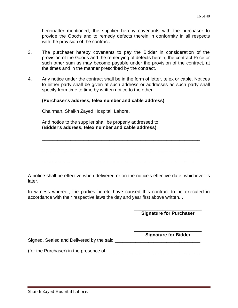hereinafter mentioned, the supplier hereby covenants with the purchaser to provide the Goods and to remedy defects therein in conformity in all respects with the provision of the contract.

- 3. The purchaser hereby covenants to pay the Bidder in consideration of the provision of the Goods and the remedying of defects herein, the contract Price or such other sum as may become payable under the provision of the contract, at the times and in the manner prescribed by the contract.
- 4. Any notice under the contract shall be in the form of letter, telex or cable. Notices to either party shall be given at such address or addresses as such party shall specify from time to time by written notice to the other.

### **(Purchaser's address, telex number and cable address)**

Chairman, Shaikh Zayed Hospital, Lahore.

And notice to the supplier shall be properly addressed to: (**Bidder's address, telex number and cable address)**

A notice shall be effective when delivered or on the notice's effective date, whichever is later.

\_\_\_\_\_\_\_\_\_\_\_\_\_\_\_\_\_\_\_\_\_\_\_\_\_\_\_\_\_\_\_\_\_\_\_\_\_\_\_\_\_\_\_\_\_\_\_\_\_\_\_\_\_\_\_\_\_\_\_\_\_

\_\_\_\_\_\_\_\_\_\_\_\_\_\_\_\_\_\_\_\_\_\_\_\_\_\_\_\_\_\_\_\_\_\_\_\_\_\_\_\_\_\_\_\_\_\_\_\_\_\_\_\_\_\_\_\_\_\_\_\_\_

\_\_\_\_\_\_\_\_\_\_\_\_\_\_\_\_\_\_\_\_\_\_\_\_\_\_\_\_\_\_\_\_\_\_\_\_\_\_\_\_\_\_\_\_\_\_\_\_\_\_\_\_\_\_\_\_\_\_\_\_\_

In witness whereof, the parties hereto have caused this contract to be executed in accordance with their respective laws the day and year first above written. ,

> \_\_\_\_\_\_\_\_\_\_\_\_\_\_\_\_\_\_\_\_\_\_\_\_\_\_ **Signature for Purchaser**

> \_\_\_\_\_\_\_\_\_\_\_\_\_\_\_\_\_\_\_\_\_\_\_\_\_\_ **Signature for Bidder**

Signed, Sealed and Delivered by the said

(for the Purchaser) in the presence of  $\frac{1}{\sqrt{1-\frac{1}{2}}}\left\{ \frac{1}{2}, \frac{1}{2}, \frac{1}{2}, \frac{1}{2}, \frac{1}{2}, \frac{1}{2}, \frac{1}{2}, \frac{1}{2}, \frac{1}{2}, \frac{1}{2}, \frac{1}{2}, \frac{1}{2}, \frac{1}{2}, \frac{1}{2}, \frac{1}{2}, \frac{1}{2}, \frac{1}{2}, \frac{1}{2}, \frac{1}{2}, \frac{1}{2}, \frac{1}{2}, \frac{1}{2}, \frac{1}{2},$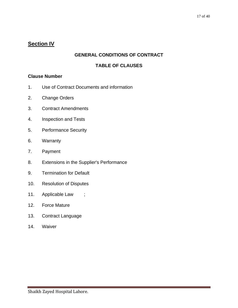# **Section IV**

# **GENERAL CONDITIONS OF CONTRACT**

# **TABLE OF CLAUSES**

# **Clause Number**

- 1. Use of Contract Documents and information
- 2. Change Orders
- 3. Contract Amendments
- 4. Inspection and Tests
- 5. Performance Security
- 6. Warranty
- 7. Payment
- 8. Extensions in the Supplier's Performance
- 9. Termination for Default
- 10. Resolution of Disputes
- 11. Applicable Law ;
- 12. Force Mature
- 13. Contract Language
- 14. Waiver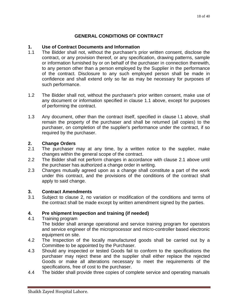# **GENERAL CONDITIONS OF CONTRACT**

#### **1. Use of Contract Documents and Information**

- 1.1 The Bidder shall not, without the purchaser's prior written consent, disclose the contract, or any provision thereof, or any specification, drawing patterns, sample or information furnished by or on behalf of the purchaser in connection therewith, to any person other than a person employed by the Supplier in the performance of the contract. Disclosure to any such employed person shall be made in confidence and shall extend only so far as may be necessary for purposes of such performance.
- 1.2 The Bidder shall not, without the purchaser's prior written consent, make use of any document or information specified in clause 1.1 above, except for purposes of performing the contract.
- 1.3 Any document, other than the contract itself, specified in clause l.1 above, shall remain the property of the purchaser and shall be returned (all copies) to the purchaser, on completion of the supplier's performance under the contract, if so required by the purchaser.

### **2. Change Orders**

- 2.1 The purchaser may at any time, by a written notice to the supplier, make changes within the general scope of the contract.
- 2.2 The Bidder shall not perform changes in accordance with clause 2.1 above until the purchaser has authorized a change order in writing.
- 2.3 Changes mutually agreed upon as a change shall constitute a part of the work under this contract, and the provisions of the conditions of the contract shall apply to said change.

#### **3. Contract Amendments**

3.1 Subject to clause 2, no variation or modification of the conditions and terms of the contract shall be made except by written amendment signed by the parties.

# **4. Pre shipment Inspection and training (if needed)**

4.1 Training program

The bidder shall arrange operational and service training program for operators and service engineer of the microprocessor and micro-controller based electronic equipment on site.

- 4.2 The Inspection of the locally manufactured goods shall be carried out by a Committee to be appointed by the Purchaser.
- 4.3 Should any inspected or tested Goods fail to conform to the specifications the purchaser may reject these and the supplier shall either replace the rejected Goods or make all alterations necessary to meet the requirements of the specifications, free of cost to the purchaser.
- 4.4 The bidder shall provide three copies of complete service and operating manuals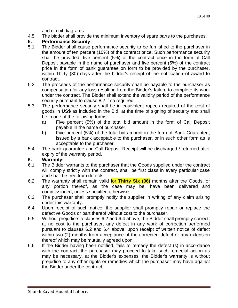and circuit diagrams.

4.5 The bidder shall provide the minimum inventory of spare parts to the purchases.

# **5. Performance Security**

- 5.1 The Bidder shall cause performance security to be furnished to the purchaser in the amount of ten percent (10%) of the contract price. Such performance security shall be provided, five percent (5%) of the contract price in the form of Call Deposit payable in the name of purchaser and five percent (5%) of the contract price in the form of bank guarantee on form to be provided by the purchaser, within Thirty (30) days after the bidder's receipt of the notification of award to contract.
- 5.2 The proceeds of the performance security shall be payable to the purchaser as compensation for any loss resulting from the Bidder's failure to complete its work under the contract. The Bidder shall extend the validity period of the performance security pursuant to clause 8.2 if so required.
- 5.3 The performance security shall be in equivalent rupees required of the cost of goods in **US\$** as included in the Bid, at the time of signing of security and shall be in one of the following forms:
	- a) Five percent (5%) of the total bid amount in the form of Call Deposit payable in the name of purchaser.
	- b) Five percent (5%) of the total bid amount in the form of Bank Guarantee, issued by a bank acceptable to the purchaser, or in such other form as is acceptable to the purchaser.
- 5.4 The bank guarantee and Call Deposit Receipt will be discharged / returned after expiry of the warranty period.

# **6. Warranty:**

- 6.1 The Bidder warrants to the purchaser that the Goods supplied under the contract will comply strictly with the contract, shall be first class in every particular case and shall be free from defects.
- 6.2 The warranty shall remain valid for **Thirty Six (36)** months after the Goods, or any portion thereof, as the case may be, have been delivered and commissioned, unless specified otherwise.
- 6.3 The purchaser shall promptly notify the supplier in writing of any claim arising under this warranty.
- 6.4 Upon receipt of such notice, the supplier shall promptly repair or replace the defective Goods or part thereof without cost to the purchaser.
- 6.5 Without prejudice to clauses 6.2 and 6.4 above, the Bidder shall promptly correct, at no cost to the purchaser, any defect in any work of correction performed pursuant to clauses 6.2 and 6.4 above, upon receipt of written notice of defect within two (2) months from acceptance of the corrected defect or any extension thereof which may be mutually agreed upon.
- 6.6 If the Bidder having been notified, fails to remedy the defect (s) in accordance with the contract, the purchaser may proceed to take such remedial action as may be necessary, at the Bidder's expenses, the Bidder's warranty is without prejudice to any other rights or remedies which the purchaser may have against the Bidder under the contract.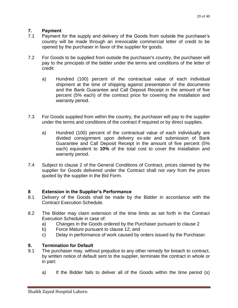# **7. Payment**

- 7.1 Payment for the supply and delivery of the Goods from outside the purchaser's country will be made through an irrevocable commercial letter of credit to be opened by the purchaser in favor of the supplier for goods.
- 7.2 For Goods to be supplied from outside the purchaser's country, the purchaser will pay to the principals of the bidder under the terms and conditions of the letter of credit:
	- a) Hundred (100) percent of the contractual value of each individual shipment at the time of shipping against presentation of the documents and the Bank Guarantee and Call Deposit Receipt in the amount of five percent (5% each) of the contract price for covering the installation and warranty period.
- 7.3 For Goods supplied from within the country, the purchaser will pay to the supplier under the terms and conditions of the contract if required or by direct supplies.
	- a) Hundred (100) percent of the contractual value of each individually are divided consignment upon delivery ex-site and submission of Bank Guarantee and Call Deposit Receipt in the amount of five percent (5% each) equivalent to **10%** of the total cost to cover the installation and warranty period.
- 7.4 Subject to clause 2 of the General Conditions of Contract, prices claimed by the supplier for Goods delivered under the Contract shall not vary from the prices quoted by the supplier in the Bid Form.

# **8 Extension in the Supplier's Performance**

- 8.1 Delivery of the Goods shall be made by the Bidder in accordance with the Contract Execution Schedule.
- 8.2 The Bidder may claim extension of the time limits as set forth in the Contract Execution Schedule in case of:
	- a) Changes in the Goods ordered by the Purchaser pursuant to clause 2
	- b) Force Mature pursuant to clause 12; and
	- c) Delay in performance of work caused by orders issued by the Purchaser.

# **9. Termination for Default**

- 9.1 The purchaser may, without prejudice to any other remedy for breach to contract, by written notice of default sent to the supplier, terminate the contract in whole or in part:
	- a) If the Bidder fails to deliver all of the Goods within the time period (s)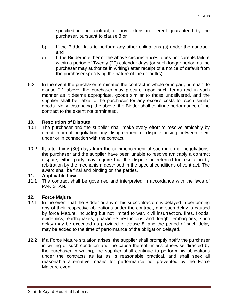specified in the contract, or any extension thereof guaranteed by the purchaser, pursuant to clause 8 or

- b) If the Bidder fails to perform any other obligations (s) under the contract; and
- c) If the Bidder in either of the above circumstances, does not cure its failure within a period of Twenty (20) calendar days (or such longer period as the purchaser may authorize in writing) after receipt of a notice of default from the purchaser specifying the nature of the default(s).
- 9.2 In the event the purchaser terminates the contract in whole or in part, pursuant to clause 9.1 above, the purchaser may procure, upon such terms and in such manner as it deems appropriate, goods similar to those undelivered, and the supplier shall be liable to the purchaser for any excess costs for such similar goods. Not withstanding the above, the Bidder shall continue performance of the contract to the extent not terminated.

# **10. Resolution of Dispute**

- 10.1 The purchaser and the supplier shall make every effort to resolve amicably by direct informal negotiation any disagreement or dispute arising between them under or in connection with the contract.
- 10.2 If, after thirty (30) days from the commencement of such informal negotiations, the purchaser and the supplier have been unable to resolve amicably a contract dispute, either party may require that the dispute be referred for resolution by arbitration by the mechanism described in the special conditions of contract. The award shall be final and binding on the parties.

# **11. Applicable Law**

11.1 The contract shall be governed and interpreted in accordance with the laws of PAKISTAN.

# **12. Force Majure**

- 12.1 In the event that the Bidder or any of his subcontractors is delayed in performing any of their respective obligations under the contract, and such delay is caused by force Mature, including but not limited to war, civil insurrection, fires, floods, epidemics, earthquakes, guarantee restrictions and freight embargoes, such delay may be executed as provided in clause 8, and the period of such delay may be added to the time of performance of the obligation delayed.
- 12.2 If a Force Mature situation arises, the supplier shall promptly notify the purchaser in writing of such condition and the cause thereof unless otherwise directed by the purchaser in writing, the supplier shall continue to perform his obligations under the contracts as far as is reasonable practical, and shall seek all reasonable alternative means for performance not prevented by the Force Majeure event.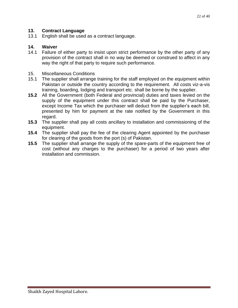# **13. Contract Language**

13.1 English shall be used as a contract language.

### **14. Waiver**

- 14.1 Failure of either party to insist upon strict performance by the other party of any provision of the contract shall in no way be deemed or construed to affect in any way the right of that party to require such performance.
- 15. Miscellaneous Conditions
- 15.1 The supplier shall arrange training for the staff employed on the equipment within Pakistan or outside the country according to the requirement. All costs viz-a-vis training, boarding, lodging and transport etc. shall be borne by the supplier.
- **15.2** All the Government (both Federal and provincial) duties and taxes levied on the supply of the equipment under this contract shall be paid by the Purchaser, except Income Tax which the purchaser will deduct from the supplier's each bill, presented by him for payment at the rate notified by the Government in this regard.
- **15.3** The supplier shall pay all costs ancillary to installation and commissioning of the equipment.
- **15.4** The supplier shall pay the fee of the clearing Agent appointed by the purchaser for clearing of the goods from the port (s) of Pakistan.
- **15.5** The supplier shall arrange the supply of the spare-parts of the equipment free of cost (without any charges to the purchaser) for a period of two years after installation and commission.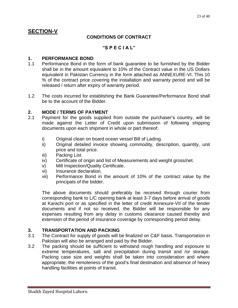# **SECTION-V**

# **CONDITIONS OF CONTRACT**

# **"S P E C I A L"**

#### **1. PERFORMANCE BOND**

- 1.1 Performance Bond in the form of bank guarantee to be furnished by the Bidder shall be in the amount equivalent to 10% of the Contract value in the US Dollars equivalent in Pakistan Currency in the form attached as ANNEXURE-VI. This 10 % of the contract price covering the installation and warranty period and will be released / return after expiry of warranty period.
- 1.2 The costs incurred for establishing the Bank Guarantee/Performance Bond shall be to the account of the Bidder.

### **2. MODE / TERMS OF PAYMENT**

- 2.1 Payment for the goods supplied from outside the purchaser's country, will be made against the Letter of Credit upon submission of following shipping documents upon each shipment in whole or part thereof:
	- i) Original clean on board ocean vessel Bill of Lading.
	- ii) Original detailed invoice showing commodity, description, quantity, unit price and total price.
	- iii) Packing List.
	- iv) Certificate of origin and list of Measurements and weight gross/net.
	- v) Mill Inspection/Quality Certificate.
	- vi) Insurance declaration.
	- vii) Performance Bond in the amount of 10% of the contract value by the principals of the bidder.

The above documents should preferably be received through courier from corresponding bank to L/C opening bank at least 3-7 days before arrival of goods at Karachi port or as specified in the letter of credit Annexure-VII of the tender documents and if not so received, the Bidder will be responsible for any expenses resulting from any delay in customs clearance caused thereby and extension of the period of insurance coverage by corresponding period delay.

# **3. TRANSPORTATION AND PACKING**

- 3.1 The Contract for supply of goods will be finalized on C&F basis. Transportation in Pakistan will also be arranged and paid by the Bidder.
- 3.2 The packing should be sufficient to withstand rough handling and exposure to extreme temperatures, salt and precipitation during transit and /or storage. Packing case size and weights shall be taken into consideration and where appropriate, the remoteness of the good's final destination and absence of heavy handling facilities at points of transit.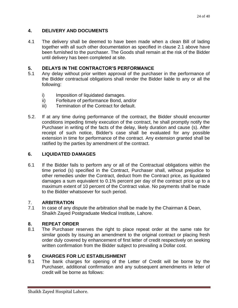# **4. DELIVERY AND DOCUMENTS**

4.1 The delivery shall be deemed to have been made when a clean Bill of lading together with all such other documentation as specified in clause 2.1 above have been furnished to the purchaser. The Goods shall remain at the risk of the Bidder until delivery has been completed at site.

# **5. DELAYS IN THE CONTRACTOR'S PERFORMANCE**

- 5.1 Any delay without prior written approval of the purchaser in the performance of the Bidder contractual obligations shall render the Bidder liable to any or all the following:
	- i) Imposition of liquidated damages.
	- ii) Forfeiture of performance Bond, and/or
	- iii) Termination of the Contract for default.
- 5.2. If at any time during performance of the contract, the Bidder should encounter conditions impeding timely execution of the contract, he shall promptly notify the Purchaser in writing of the facts of the delay, likely duration and cause (s). After receipt of such notice, Bidder's case shall be evaluated for any possible extension in time for performance of the contract. Any extension granted shall be ratified by the parties by amendment of the contract.

# **6. LIQUIDATED DAMAGES**

6.1 If the Bidder fails to perform any or all of the Contractual obligations within the time period (s) specified in the Contract, Purchaser shall, without prejudice to other remedies under the Contract, deduct from the Contract price, as liquidated damages a sum equivalent to 0.1% percent per day of the contract price up to a maximum extent of 10 percent of the Contract value. No payments shall be made to the Bidder whatsoever for such period.

# 7. **ARBITRATION**

7.1 In case of any dispute the arbitration shall be made by the Chairman & Dean, Shaikh Zayed Postgraduate Medical Institute, Lahore.

# **8. REPEAT ORDER**

8.1 The Purchaser reserves the right to place repeat order at the same rate for similar goods by issuing an amendment to the original contract or placing fresh order duly covered by enhancement of first letter of credit respectively on seeking written confirmation from the Bidder subject to prevailing a Dollar cost.

# **9 CHARGES FOR L/C ESTABLISHMENT**

9.1 The bank charges for opening of the Letter of Credit will be borne by the Purchaser, additional confirmation and any subsequent amendments in letter of credit will be borne as follows: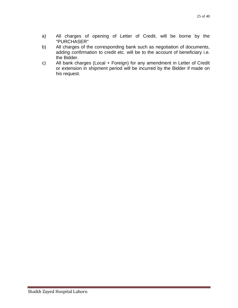- a) All charges of opening of Letter of Credit, will be borne by the "PURCHASER"
- b) All charges of the corresponding bank such as negotiation of documents, adding confirmation to credit etc. will be to the account of beneficiary i.e. the Bidder.
- c) All bank charges (Local + Foreign) for any amendment in Letter of Credit or extension in shipment period will be incurred by the Bidder if made on his request.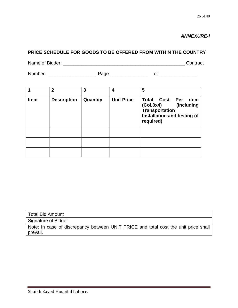*ANNEXURE-I*

# **PRICE SCHEDULE FOR GOODS TO BE OFFERED FROM WITHIN THE COUNTRY**

Name of Bidder: \_\_\_\_\_\_\_\_\_\_\_\_\_\_\_\_\_\_\_\_\_\_\_\_\_\_\_\_\_\_\_\_\_\_\_\_\_\_\_\_\_\_\_\_\_\_\_ Contract

Number: \_\_\_\_\_\_\_\_\_\_\_\_\_\_\_\_\_\_\_ Page \_\_\_\_\_\_\_\_\_\_\_\_\_\_\_ of \_\_\_\_\_\_\_\_\_\_\_\_\_\_\_

|             | $\overline{2}$     | 3        | 4                 | 5                                                                                                                                 |
|-------------|--------------------|----------|-------------------|-----------------------------------------------------------------------------------------------------------------------------------|
| <b>Item</b> | <b>Description</b> | Quantity | <b>Unit Price</b> | <b>Total Cost</b><br>Per<br>item<br>(Col.3x4)<br>(Including<br><b>Transportation</b><br>Installation and testing (if<br>required) |
|             |                    |          |                   |                                                                                                                                   |
|             |                    |          |                   |                                                                                                                                   |
|             |                    |          |                   |                                                                                                                                   |

Total Bid Amount

Signature of Bidder

Note: In case of discrepancy between UNIT PRICE and total cost the unit price shall prevail.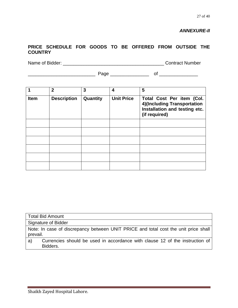# *ANNEXURE-II*

# **PRICE SCHEDULE FOR GOODS TO BE OFFERED FROM OUTSIDE THE COUNTRY**

Name of Bidder: \_\_\_\_\_\_\_\_\_\_\_\_\_\_\_\_\_\_\_\_\_\_\_\_\_\_\_\_\_\_\_\_\_\_\_\_\_\_\_ Contract Number

\_\_\_\_\_\_\_\_\_\_\_\_\_\_\_\_\_\_\_\_\_\_\_\_\_\_ Page \_\_\_\_\_\_\_\_\_\_\_\_\_\_\_ of \_\_\_\_\_\_\_\_\_\_\_\_\_\_\_

|             | $\overline{2}$     | 3        | 4                 | 5                                                                                                          |
|-------------|--------------------|----------|-------------------|------------------------------------------------------------------------------------------------------------|
| <b>Item</b> | <b>Description</b> | Quantity | <b>Unit Price</b> | Total Cost Per item (Col.<br>4)(Including Transportation<br>Installation and testing etc.<br>(if required) |
|             |                    |          |                   |                                                                                                            |
|             |                    |          |                   |                                                                                                            |
|             |                    |          |                   |                                                                                                            |
|             |                    |          |                   |                                                                                                            |
|             |                    |          |                   |                                                                                                            |
|             |                    |          |                   |                                                                                                            |

| <b>Total Bid Amount</b>                                                                         |
|-------------------------------------------------------------------------------------------------|
| Signature of Bidder                                                                             |
| Note: In case of discrepancy between UNIT PRICE and total cost the unit price shall<br>prevail. |
| Currencies should be used in accordance with clause 12 of the instruction of<br>a)<br>Bidders.  |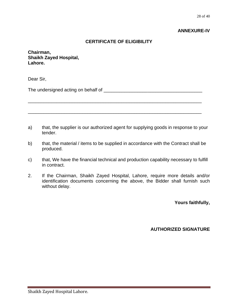#### **ANNEXURE-IV**

# **CERTIFICATE OF ELIGIBILITY**

**Chairman, Shaikh Zayed Hospital, Lahore.**

Dear Sir,

The undersigned acting on behalf of \_\_\_\_\_\_\_\_\_\_\_\_\_\_\_\_\_\_\_\_\_\_\_\_\_\_\_\_\_\_\_\_\_\_\_\_\_\_

a) that, the supplier is our authorized agent for supplying goods in response to your tender.

\_\_\_\_\_\_\_\_\_\_\_\_\_\_\_\_\_\_\_\_\_\_\_\_\_\_\_\_\_\_\_\_\_\_\_\_\_\_\_\_\_\_\_\_\_\_\_\_\_\_\_\_\_\_\_\_\_\_\_\_\_\_\_\_\_\_\_

\_\_\_\_\_\_\_\_\_\_\_\_\_\_\_\_\_\_\_\_\_\_\_\_\_\_\_\_\_\_\_\_\_\_\_\_\_\_\_\_\_\_\_\_\_\_\_\_\_\_\_\_\_\_\_\_\_\_\_\_\_\_\_\_\_\_\_

- b) that, the material / items to be supplied in accordance with the Contract shall be produced.
- c) that, We have the financial technical and production capability necessary to fulfill in contract.
- 2. If the Chairman, Shaikh Zayed Hospital, Lahore, require more details and/or identification documents concerning the above, the Bidder shall furnish such without delay.

**Yours faithfully,**

**AUTHORIZED SIGNATURE**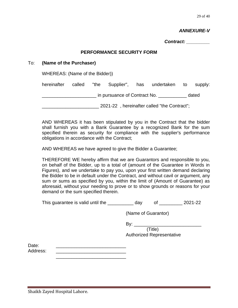29 of 40

#### *ANNEXURE-V*

*Contract: \_\_\_\_\_\_\_\_\_*

#### **PERFORMANCE SECURITY FORM**

#### To: **(Name of the Purchaser)**

WHEREAS: (Name of the Bidder))

| hereinafter                                 |  |  |                              |  | called "the Supplier", has undertaken to |  | supply: |
|---------------------------------------------|--|--|------------------------------|--|------------------------------------------|--|---------|
|                                             |  |  | in pursuance of Contract No. |  |                                          |  | dated   |
| 2021-22, hereinafter called "the Contract"; |  |  |                              |  |                                          |  |         |

AND WHEREAS it has been stipulated by you in the Contract that the bidder shall furnish you with a Bank Guarantee by a recognized Bank for the sum specified therein as security for compliance with the supplier's performance obligations in accordance with the Contract;

AND WHEREAS we have agreed to give the Bidder a Guarantee;

THEREFORE WE hereby affirm that we are Guarantors and responsible to you, on behalf of the Bidder, up to a total of (amount of the Guarantee in Words in Figures), and we undertake to pay you, upon your first written demand declaring the Bidder to be in default under the Contract, and without cavil or argument, any sum or sums as specified by you, within the limit of (Amount of Guarantee) as aforesaid, without your needing to prove or to show grounds or reasons for your demand or the sum specified therein.

This guarantee is valid until the  $\frac{1}{2}$  day of  $\frac{1}{2}$  2021-22

(Name of Guarantor)

By: \_\_\_\_\_\_\_\_\_\_\_\_\_\_\_\_\_\_\_\_\_\_\_\_\_\_ (Title)

Authorized Representative

Date: \_\_\_\_\_\_\_\_\_\_\_\_\_\_\_\_\_\_\_\_\_\_\_\_\_\_\_ Address:

\_\_\_\_\_\_\_\_\_\_\_\_\_\_\_\_\_\_\_\_\_\_\_\_\_\_\_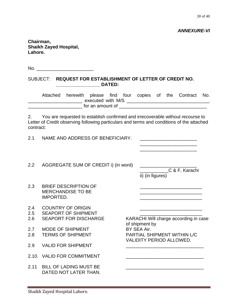30 of 40

*ANNEXURE-VI*

**Chairman, Shaikh Zayed Hospital, Lahore.** 

 $No.$ 

#### SUBJECT: **REQUEST FOR ESTABLISHMENT OF LETTER OF CREDIT NO. \_\_\_\_\_\_\_\_\_\_\_\_\_\_\_\_\_ DATED:**

Attached herewith please find four copies of the Contract No. executed with M/S **Quarter and Secure 2014** \_\_\_\_\_\_\_\_\_\_\_\_\_\_\_\_\_\_\_\_\_ for an amount of \_\_\_\_\_\_\_\_\_\_\_\_\_\_\_\_\_\_\_\_\_\_\_\_\_\_\_\_\_\_\_\_\_\_

2. You are requested to establish confirmed and irrecoverable without recourse to Letter of Credit observing following particulars and terms and conditions of the attached contract:

2.1 NAME AND ADDRESS OF BENEFICIARY.

2.2 AGGREGATE SUM OF CREDIT i) (in word)

C & F, Karachi ii) (in figures)

- 2.3 BRIEF DESCRIPTION OF MERCHANDISE TO BE \_\_\_\_\_\_\_\_\_\_\_\_\_\_\_\_\_\_\_\_\_\_\_\_ IMPORTED. \_\_\_\_\_\_\_\_\_\_\_\_\_\_\_\_\_\_\_\_\_\_\_\_
- 2.4 COUNTRY OF ORIGIN
- 2.5 SEAPORT OF SHIPMENT
- 
- 2.7 MODE OF SHIPMENT BY SEA Air.
- 2.9 VALID FOR SHIPMENT
- 2.10. VALID FOR COMMITMENT
- 2.11 BILL OF LADING MUST BE DATED NOT LATER THAN.

2.6 SEAPORT FOR DISCHARGE KARACHI Will charge according in case of shipment by 2.8 TERMS OF SHIPMENT PARTIAL SHIPMENT WITHIN L/C VALIDITY PERIOD ALLOWED.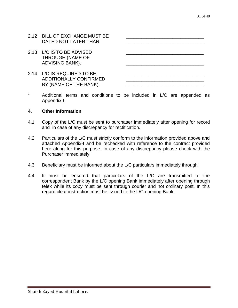- 2.12 BILL OF EXCHANGE MUST BE DATED NOT LATER THAN.
- 2.13 L/C IS TO BE ADVISED THROUGH (NAME OF ADVISING BANK).
- $2.14$  L/C IS REQUIRED TO BE ADDITIONALLY CONFIRMED BY (NAME OF THE BANK).

\* Additional terms and conditions to be included in L/C are appended as Appendix-I.

### **4. Other Information**

- 4.1 Copy of the L/C must be sent to purchaser immediately after opening for record and in case of any discrepancy for rectification.
- 4.2 Particulars of the L/C must strictly conform to the information provided above and attached Appendix-I and be rechecked with reference to the contract provided here along for this purpose. In case of any discrepancy please check with the Purchaser immediately.
- 4.3 Beneficiary must be informed about the L/C particulars immediately through
- 4.4 It must be ensured that particulars of the L/C are transmitted to the correspondent Bank by the L/C opening Bank immediately after opening through telex while its copy must be sent through courier and not ordinary post. In this regard clear instruction must be issued to the L/C opening Bank.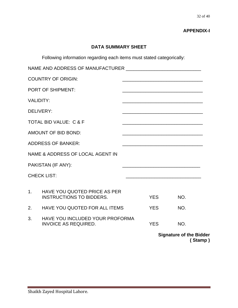# **APPENDIX-I**

# **DATA SUMMARY SHEET**

Following information regarding each items must stated categorically:

|                  |                                                                 |                                                                                                                      | <b>Signature of the Bidder</b>                                                                                         | (Stamp) |
|------------------|-----------------------------------------------------------------|----------------------------------------------------------------------------------------------------------------------|------------------------------------------------------------------------------------------------------------------------|---------|
| 3.               | HAVE YOU INCLUDED YOUR PROFORMA<br><b>INVOICE AS REQUIRED.</b>  | <b>YES</b>                                                                                                           | NO.                                                                                                                    |         |
| 2.               | HAVE YOU QUOTED FOR ALL ITEMS                                   | <b>YES</b>                                                                                                           | NO.                                                                                                                    |         |
| 1 <sup>1</sup>   | HAVE YOU QUOTED PRICE AS PER<br><b>INSTRUCTIONS TO BIDDERS.</b> | <b>YES</b>                                                                                                           | NO.                                                                                                                    |         |
|                  | <b>CHECK LIST:</b>                                              |                                                                                                                      |                                                                                                                        |         |
|                  | PAKISTAN (IF ANY):                                              |                                                                                                                      |                                                                                                                        |         |
|                  | NAME & ADDRESS OF LOCAL AGENT IN                                |                                                                                                                      |                                                                                                                        |         |
|                  | <b>ADDRESS OF BANKER:</b>                                       | <u> 2000 - 2000 - 2000 - 2000 - 2000 - 2000 - 2000 - 2000 - 2000 - 2000 - 2000 - 2000 - 2000 - 2000 - 2000 - 200</u> |                                                                                                                        |         |
|                  | AMOUNT OF BID BOND:                                             |                                                                                                                      | <u> 1989 - Johann John Stone, mars et al. 1989 - John Stone, mars et al. 1989 - John Stone, mars et al. 1989 - Joh</u> |         |
|                  | <b>TOTAL BID VALUE: C &amp; F</b>                               |                                                                                                                      |                                                                                                                        |         |
| <b>DELIVERY:</b> |                                                                 |                                                                                                                      |                                                                                                                        |         |
| <b>VALIDITY:</b> |                                                                 | <u> 1980 - Johann Barn, mars an t-Amerikaansk politiker (* 1950)</u>                                                 |                                                                                                                        |         |
|                  | <b>PORT OF SHIPMENT:</b>                                        |                                                                                                                      | the control of the control of the control of the control of the control of the control of                              |         |
|                  | <b>COUNTRY OF ORIGIN:</b>                                       |                                                                                                                      |                                                                                                                        |         |
|                  |                                                                 |                                                                                                                      |                                                                                                                        |         |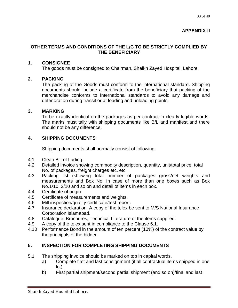# **OTHER TERMS AND CONDITIONS OF THE L/C TO BE STRICTLY COMPLIED BY THE BENEFICIARY**

# **1. CONSIGNEE**

The goods must be consigned to Chairman, Shaikh Zayed Hospital, Lahore.

# **2. PACKING**

The packing of the Goods must conform to the international standard. Shipping documents should include a certificate from the beneficiary that packing of the merchandise conforms to International standards to avoid any damage and deterioration during transit or at loading and unloading points.

# **3. MARKING**

To be exactly identical on the packages as per contract in clearly legible words. The marks must tally with shipping documents like B/L and manifest and there should not be any difference.

# **4. SHIPPING DOCUMENTS**

Shipping documents shall normally consist of following:

- 4.1 Clean Bill of Lading.
- 4.2 Detailed invoice showing commodity description, quantity, unit/total price, total No. of packages, freight charges etc. etc.
- 4.3 Packing list (showing total number of packages gross/net weights and measurements and Box No. in case of more than one boxes such as Box No.1/10. 2/10 and so on and detail of items in each box.
- 4.4 Certificate of origin.
- 4.5 Certificate of measurements and weights.
- 4.6 Mill inspection/quality certificate/test report.
- 4.7 Insurance declaration. A copy of the telex be sent to M/S National Insurance Corporation Islamabad.
- 4.8 Catalogue, Brochures, Technical Literature of the items supplied.
- 4.9 A copy of the telex sent in compliance to the Clause 6.1.
- 4.10 Performance Bond in the amount of ten percent (10%) of the contract value by the principals of the bidder.

# **5. INSPECTION FOR COMPLETING SHIPPING DOCUMENTS**

- 5.1 The shipping invoice should be marked on top in capital words.
	- a) Complete first and last consignment (if all contractual items shipped in one lot).
	- b) First partial shipment/second partial shipment (and so on)/final and last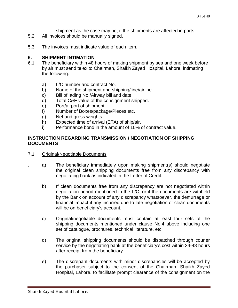shipment as the case may be, if the shipments are affected in parts.

- 5.2 All invoices should be manually signed.
- 5.3 The invoices must indicate value of each item.

# **6. SHIPMENT INTIMATION**

- 6.1 The beneficiary within 48 hours of making shipment by sea and one week before by air must send telex to Chairman, Shaikh Zayed Hospital, Lahore, intimating the following:
	- a) L/C number and contract No.
	- b) Name of the shipment and shipping/line/airline.
	- c) Bill of lading No./Airway bill and date.
	- d) Total C&F value of the consignment shipped.
	- e) Port/airport of shipment.
	- f) Number of Boxes/package/Pieces etc.
	- g) Net and gross weights.
	- h) Expected time of arrival (ETA) of ship/air.
	- i) Performance bond in the amount of 10% of contract value.

#### **INSTRUCTION REGARDING TRANSMISSION / NEGOTIATION OF SHIPPING DOCUMENTS**

- 7.1 Original/Negotiable Documents
	- a) The beneficiary immediately upon making shipment(s) should negotiate the original clean shipping documents free from any discrepancy with negotiating bank as indicated in the Letter of Credit.
		- b) If clean documents free from any discrepancy are not negotiated within negotiation period mentioned in the L/C, or if the documents are withheld by the Bank on account of any discrepancy whatsoever, the demurrage or financial impact if any incurred due to late negotiation of clean documents will be on beneficiary's account.
		- c) Original/negotiable documents must contain at least four sets of the shipping documents mentioned under clause No.4 above including one set of catalogue, brochures, technical literature, etc.
		- d) The original shipping documents should be dispatched through courier service by the negotiating bank at the beneficiary's cost within 24-48 hours after receipt from the beneficiary.
		- e) The discrepant documents with minor discrepancies will be accepted by the purchaser subject to the consent of the Chairman, Shaikh Zayed Hospital, Lahore. to facilitate prompt clearance of the consignment on the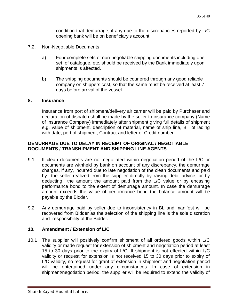condition that demurrage, if any due to the discrepancies reported by L/C opening bank will be on beneficiary's account.

### 7.2. Non-Negotiable Documents

- a) Four complete sets of non-negotiable shipping documents including one set of catalogue, etc. should be received by the Bank immediately upon shipments is affected.
- b) The shipping documents should be couriered through any good reliable company on shippers cost, so that the same must be received at least 7 days before arrival of the vessel.

#### **8. Insurance**

Insurance from port of shipment/delivery air carrier will be paid by Purchaser and declaration of dispatch shall be made by the seller to insurance company (Name of Insurance Company) immediately after shipment giving full details of shipment e.g. value of shipment, description of material, name of ship line, Bill of lading with date, port of shipment, Contract and letter of Credit number.

# **DEMURRAGE DUE TO DELAY IN RECEIPT OF ORIGINAL / NEGOTIABLE DOCUMENTS / TRANSHIPMENT AND SHIPPING LINE AGENTS**

- 9 1 If clean documents are not negotiated within negotiation period of the L/C or documents are withheld by bank on account of any discrepancy, the demurrage charges, if any, incurred due to late negotiation of the clean documents and paid by the seller realized from the supplier directly by raising debit advice, or by deducting the amount the amount paid from the L/C value or by encasing performance bond to the extent of demurrage amount. In case the demurrage amount exceeds the value of performance bond the balance amount will be payable by the Bidder.
- 9.2 Any demurrage paid by seller due to inconsistency in BL and manifest will be recovered from Bidder as the selection of the shipping line is the sole discretion and responsibility of the Bidder.

# **10. Amendment / Extension of L/C**

10.1 The supplier will positively confirm shipment of all ordered goods within L/C validity or made request for extension of shipment and negotiation period at least 15 to 30 days prior to the expiry of L/C. If shipment is not effected within L/C validity or request for extension is not received 15 to 30 days prior to expiry of L/C validity, no request for grant of extension in shipment and negotiation period will be entertained under any circumstances. In case of extension in shipment/negotiation period, the supplier will be required to extend the validity of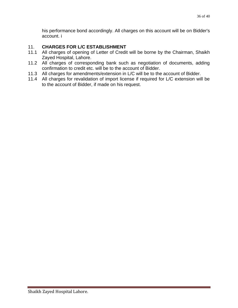his performance bond accordingly. All charges on this account will be on Bidder's account. i

# 11. **CHARGES FOR L/C ESTABLISHMENT**

- 11.1 All charges of opening of Letter of Credit will be borne by the Chairman, Shaikh Zayed Hospital, Lahore.
- 11.2 All charges of corresponding bank such as negotiation of documents, adding confirmation to credit etc. will be to the account of Bidder.
- 11.3 All charges for amendments/extension in L/C will be to the account of Bidder.
- 11.4 All charges for revalidation of import license if required for L/C extension will be to the account of Bidder, if made on his request.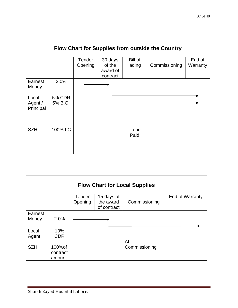|                               |                         |                   |                                           |                   | Flow Chart for Supplies from outside the Country |                    |
|-------------------------------|-------------------------|-------------------|-------------------------------------------|-------------------|--------------------------------------------------|--------------------|
|                               |                         | Tender<br>Opening | 30 days<br>of the<br>award of<br>contract | Bill of<br>lading | Commissioning                                    | End of<br>Warranty |
| Earnest<br>Money              | 2.0%                    |                   |                                           |                   |                                                  |                    |
| Local<br>Agent /<br>Principal | <b>5% CDR</b><br>5% B.G |                   |                                           |                   |                                                  |                    |
| <b>SZH</b>                    | 100% LC                 |                   |                                           | To be<br>Paid     |                                                  |                    |

| <b>Flow Chart for Local Supplies</b> |            |               |             |               |                 |
|--------------------------------------|------------|---------------|-------------|---------------|-----------------|
|                                      |            | <b>Tender</b> | 15 days of  |               | End of Warranty |
|                                      |            | Opening       | the award   | Commissioning |                 |
|                                      |            |               | of contract |               |                 |
| Earnest                              |            |               |             |               |                 |
| Money                                | 2.0%       |               |             |               |                 |
|                                      |            |               |             |               |                 |
| Local                                | 10%        |               |             |               |                 |
| Agent                                | <b>CDR</b> |               |             |               |                 |
|                                      |            |               |             | At            |                 |
| <b>SZH</b>                           | 100% of    |               |             | Commissioning |                 |
|                                      | contract   |               |             |               |                 |
|                                      | amount     |               |             |               |                 |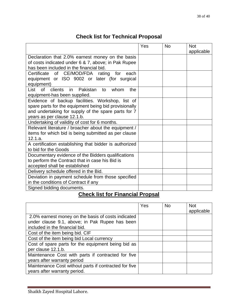# **Check list for Technical Proposal**

|                                                                                                              | Yes | <b>No</b> | <b>Not</b> |
|--------------------------------------------------------------------------------------------------------------|-----|-----------|------------|
| Declaration that 2.0% earnest money on the basis                                                             |     |           | applicable |
| of costs indicated under 6 & 7, above; in Pak Rupee                                                          |     |           |            |
| has been included in the financial bid.                                                                      |     |           |            |
| Certificate of CE/MOD/FDA rating<br>for each                                                                 |     |           |            |
| equipment or ISO 9002 or later (for surgical                                                                 |     |           |            |
| equipment)                                                                                                   |     |           |            |
| clients in Pakistan<br>List of<br>whom<br>the<br>to                                                          |     |           |            |
| equipment-has been supplied.                                                                                 |     |           |            |
| Evidence of backup facilities. Workshop, list of                                                             |     |           |            |
| spare parts for the equipment being bid provisionally<br>and undertaking for supply of the spare parts for 7 |     |           |            |
| years as per clause 12.1.b.                                                                                  |     |           |            |
| Undertaking of validity of cost for 6 months.                                                                |     |           |            |
| Relevant literature / broacher about the equipment /                                                         |     |           |            |
| items for which bid is being submitted as per clause                                                         |     |           |            |
| 12.1.a.                                                                                                      |     |           |            |
| A certification establishing that bidder is authorized                                                       |     |           |            |
| to bid for the Goods                                                                                         |     |           |            |
| Documentary evidence of the Bidders qualifications                                                           |     |           |            |
| to perform the Contract that in case his Bid is                                                              |     |           |            |
| accepted shall be established                                                                                |     |           |            |
| Delivery schedule offered in the Bid.                                                                        |     |           |            |
| Deviation in payment schedule from those specified                                                           |     |           |            |
| in the conditions of Contract if any                                                                         |     |           |            |
| Signed bidding documents.                                                                                    |     |           |            |

# **Check list for Financial Propsal**

|                                                                                                                                        | Yes | <b>No</b> | <b>Not</b><br>applicable |
|----------------------------------------------------------------------------------------------------------------------------------------|-----|-----------|--------------------------|
| 2.0% earnest money on the basis of costs indicated<br>under clause 9.1, above; in Pak Rupee has been<br>included in the financial bid. |     |           |                          |
| Cost of the item being bid. CIF                                                                                                        |     |           |                          |
| Cost of the item being bid Local currency                                                                                              |     |           |                          |
| Cost of spare parts for the equipment being bid as<br>per clause 12.1.b.                                                               |     |           |                          |
| Maintenance Cost with parts if contracted for five<br>years after warranty period                                                      |     |           |                          |
| Maintenance Cost without parts if contracted for five<br>years after warranty period.                                                  |     |           |                          |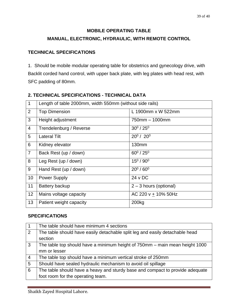# **MOBILE OPERATING TABLE**

# **MANUAL, ELECTRONIC, HYDRAULIC, WITH REMOTE CONTROL**

# **TECHNICAL SPECIFICATIONS**

1. Should be mobile modular operating table for obstetrics and gynecology drive, with Backlit corded hand control, with upper back plate, with leg plates with head rest, with SFC padding of 80mm.

| $\mathbf 1$    | Length of table 2000mm, width 550mm (without side rails) |                          |  |  |  |
|----------------|----------------------------------------------------------|--------------------------|--|--|--|
| 2              | <b>Top Dimension</b>                                     | L 1900mm x W 522mm       |  |  |  |
| 3              | Height adjustment                                        | 750mm - 1000mm           |  |  |  |
| $\overline{4}$ | Trendelenburg / Reverse                                  | $30^0 / 25^0$            |  |  |  |
| 5              | <b>Lateral Tilt</b>                                      | $20^0 / 20^0$            |  |  |  |
| 6              | Kidney elevator                                          | 130mm                    |  |  |  |
| $\overline{7}$ | Back Rest (up / down)                                    | $60^0 / 25^0$            |  |  |  |
| 8              | Leg Rest (up / down)                                     | $15^0 / 90^0$            |  |  |  |
| 9              | Hand Rest (up / down)                                    | $20^0 / 60^0$            |  |  |  |
| 10             | <b>Power Supply</b>                                      | $24 \vee DC$             |  |  |  |
| 11             | <b>Battery backup</b>                                    | $2 - 3$ hours (optional) |  |  |  |
| 12             | Mains voltage capacity                                   | AC 220 v $+$ 10% 50Hz    |  |  |  |
| 13             | Patient weight capacity                                  | 200 <sub>kg</sub>        |  |  |  |

# **2. TECHNICAL SPECIFICATIONS - TECHNICAL DATA**

#### **SPECIFICATIONS**

|                | The table should have minimum 4 sections                                      |
|----------------|-------------------------------------------------------------------------------|
| 2              | The table should have easily detachable split leg and easily detachable head  |
|                | section                                                                       |
| 3              | The table top should have a minimum height of 750mm - main mean height 1000   |
|                | mm or lesser                                                                  |
| $\overline{4}$ | The table top should have a minimum vertical stroke of 250mm                  |
| 5              | Should have sealed hydraulic mechanism to avoid oil spillage                  |
| 6              | The table should have a heavy and sturdy base and compact to provide adequate |
|                | foot room for the operating team.                                             |